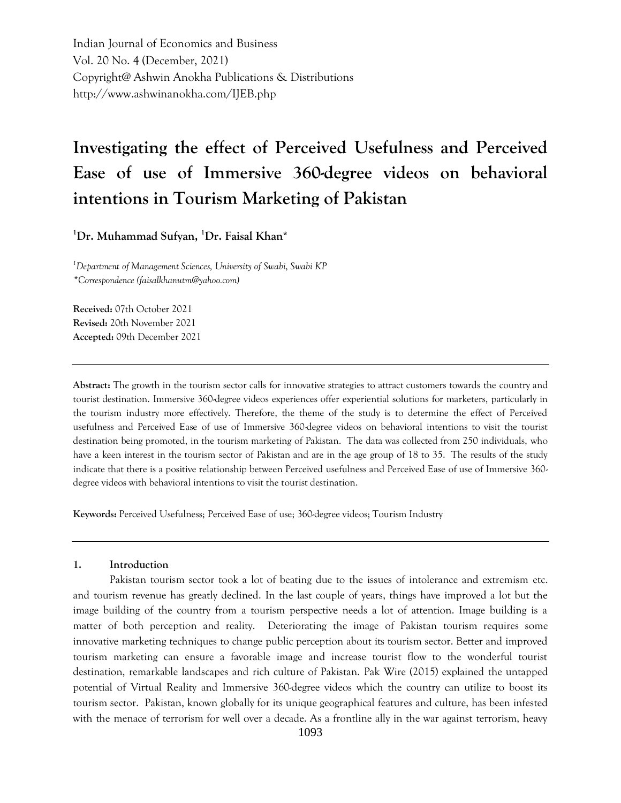Indian Journal of Economics and Business Vol. 20 No. 4 (December, 2021) Copyright@ Ashwin Anokha Publications & Distributions http://www.ashwinanokha.com/IJEB.php

# **Investigating the effect of Perceived Usefulness and Perceived Ease of use of Immersive 360-degree videos on behavioral intentions in Tourism Marketing of Pakistan**

**<sup>1</sup>Dr. Muhammad Sufyan, <sup>1</sup>Dr. Faisal Khan\***

*<sup>1</sup>Department of Management Sciences, University of Swabi, Swabi KP \*Correspondence (faisalkhanutm@yahoo.com)*

**Received:** 07th October 2021 **Revised:** 20th November 2021 **Accepted:** 09th December 2021

**Abstract:** The growth in the tourism sector calls for innovative strategies to attract customers towards the country and tourist destination. Immersive 360-degree videos experiences offer experiential solutions for marketers, particularly in the tourism industry more effectively. Therefore, the theme of the study is to determine the effect of Perceived usefulness and Perceived Ease of use of Immersive 360-degree videos on behavioral intentions to visit the tourist destination being promoted, in the tourism marketing of Pakistan. The data was collected from 250 individuals, who have a keen interest in the tourism sector of Pakistan and are in the age group of 18 to 35. The results of the study indicate that there is a positive relationship between Perceived usefulness and Perceived Ease of use of Immersive 360 degree videos with behavioral intentions to visit the tourist destination.

**Keywords:** Perceived Usefulness; Perceived Ease of use; 360-degree videos; Tourism Industry

#### **1. Introduction**

Pakistan tourism sector took a lot of beating due to the issues of intolerance and extremism etc. and tourism revenue has greatly declined. In the last couple of years, things have improved a lot but the image building of the country from a tourism perspective needs a lot of attention. Image building is a matter of both perception and reality. Deteriorating the image of Pakistan tourism requires some innovative marketing techniques to change public perception about its tourism sector. Better and improved tourism marketing can ensure a favorable image and increase tourist flow to the wonderful tourist destination, remarkable landscapes and rich culture of Pakistan. Pak Wire (2015) explained the untapped potential of Virtual Reality and Immersive 360-degree videos which the country can utilize to boost its tourism sector. Pakistan, known globally for its unique geographical features and culture, has been infested with the menace of terrorism for well over a decade. As a frontline ally in the war against terrorism, heavy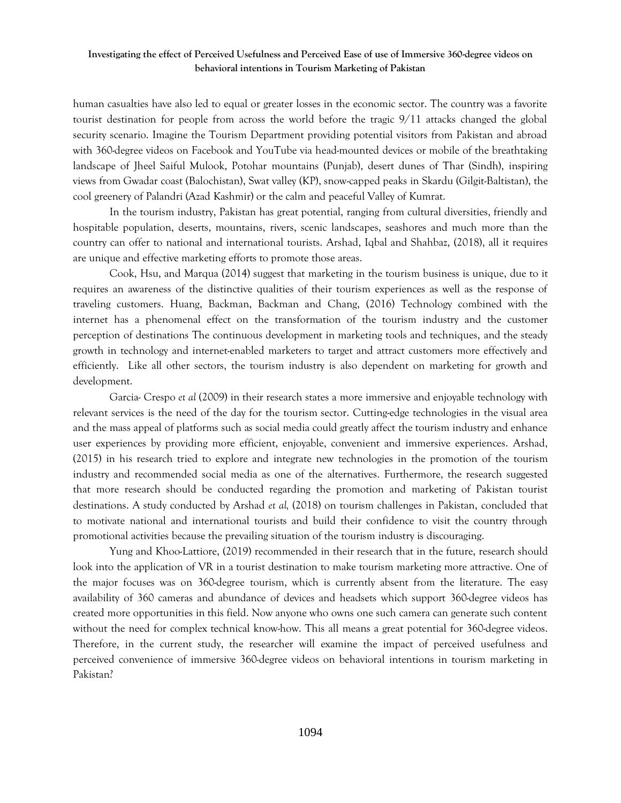human casualties have also led to equal or greater losses in the economic sector. The country was a favorite tourist destination for people from across the world before the tragic 9/11 attacks changed the global security scenario. Imagine the Tourism Department providing potential visitors from Pakistan and abroad with 360-degree videos on Facebook and YouTube via head-mounted devices or mobile of the breathtaking landscape of Jheel Saiful Mulook, Potohar mountains (Punjab), desert dunes of Thar (Sindh), inspiring views from Gwadar coast (Balochistan), Swat valley (KP), snow-capped peaks in Skardu (Gilgit-Baltistan), the cool greenery of Palandri (Azad Kashmir) or the calm and peaceful Valley of Kumrat.

In the tourism industry, Pakistan has great potential, ranging from cultural diversities, friendly and hospitable population, deserts, mountains, rivers, scenic landscapes, seashores and much more than the country can offer to national and international tourists. Arshad, Iqbal and Shahbaz, (2018), all it requires are unique and effective marketing efforts to promote those areas.

Cook, Hsu, and Marqua (2014) suggest that marketing in the tourism business is unique, due to it requires an awareness of the distinctive qualities of their tourism experiences as well as the response of traveling customers. Huang, Backman, Backman and Chang, (2016) Technology combined with the internet has a phenomenal effect on the transformation of the tourism industry and the customer perception of destinations The continuous development in marketing tools and techniques, and the steady growth in technology and internet-enabled marketers to target and attract customers more effectively and efficiently. Like all other sectors, the tourism industry is also dependent on marketing for growth and development.

Garcia- Crespo *et al* (2009) in their research states a more immersive and enjoyable technology with relevant services is the need of the day for the tourism sector. Cutting-edge technologies in the visual area and the mass appeal of platforms such as social media could greatly affect the tourism industry and enhance user experiences by providing more efficient, enjoyable, convenient and immersive experiences. Arshad, (2015) in his research tried to explore and integrate new technologies in the promotion of the tourism industry and recommended social media as one of the alternatives. Furthermore, the research suggested that more research should be conducted regarding the promotion and marketing of Pakistan tourist destinations. A study conducted by Arshad *et al,* (2018) on tourism challenges in Pakistan, concluded that to motivate national and international tourists and build their confidence to visit the country through promotional activities because the prevailing situation of the tourism industry is discouraging.

Yung and Khoo-Lattiore, (2019) recommended in their research that in the future, research should look into the application of VR in a tourist destination to make tourism marketing more attractive. One of the major focuses was on 360-degree tourism, which is currently absent from the literature. The easy availability of 360 cameras and abundance of devices and headsets which support 360-degree videos has created more opportunities in this field. Now anyone who owns one such camera can generate such content without the need for complex technical know-how. This all means a great potential for 360-degree videos. Therefore, in the current study, the researcher will examine the impact of perceived usefulness and perceived convenience of immersive 360-degree videos on behavioral intentions in tourism marketing in Pakistan?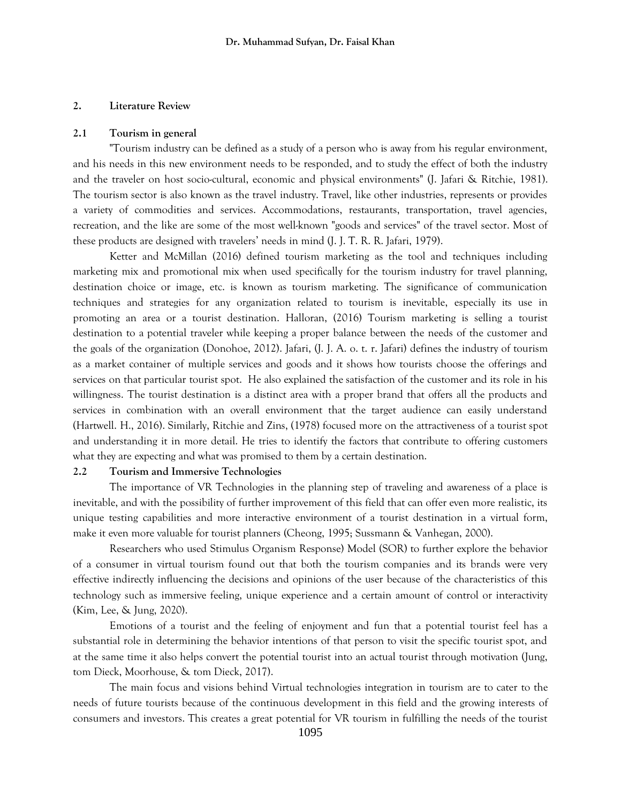## **2. Literature Review**

#### **2.1 Tourism in general**

"Tourism industry can be defined as a study of a person who is away from his regular environment, and his needs in this new environment needs to be responded, and to study the effect of both the industry and the traveler on host socio-cultural, economic and physical environments" (J. Jafari & Ritchie, 1981). The tourism sector is also known as the travel industry. Travel, like other industries, represents or provides a variety of commodities and services. Accommodations, restaurants, transportation, travel agencies, recreation, and the like are some of the most well-known "goods and services" of the travel sector. Most of these products are designed with travelers' needs in mind (J. J. T. R. R. Jafari, 1979).

Ketter and McMillan (2016) defined tourism marketing as the tool and techniques including marketing mix and promotional mix when used specifically for the tourism industry for travel planning, destination choice or image, etc. is known as tourism marketing. The significance of communication techniques and strategies for any organization related to tourism is inevitable, especially its use in promoting an area or a tourist destination. Halloran, (2016) Tourism marketing is selling a tourist destination to a potential traveler while keeping a proper balance between the needs of the customer and the goals of the organization (Donohoe, 2012). Jafari, (J. J. A. o. t. r. Jafari) defines the industry of tourism as a market container of multiple services and goods and it shows how tourists choose the offerings and services on that particular tourist spot. He also explained the satisfaction of the customer and its role in his willingness. The tourist destination is a distinct area with a proper brand that offers all the products and services in combination with an overall environment that the target audience can easily understand (Hartwell. H., 2016). Similarly, Ritchie and Zins, (1978) focused more on the attractiveness of a tourist spot and understanding it in more detail. He tries to identify the factors that contribute to offering customers what they are expecting and what was promised to them by a certain destination.

#### **2.2 Tourism and Immersive Technologies**

The importance of VR Technologies in the planning step of traveling and awareness of a place is inevitable, and with the possibility of further improvement of this field that can offer even more realistic, its unique testing capabilities and more interactive environment of a tourist destination in a virtual form, make it even more valuable for tourist planners (Cheong, 1995; Sussmann & Vanhegan, 2000).

Researchers who used Stimulus Organism Response) Model (SOR) to further explore the behavior of a consumer in virtual tourism found out that both the tourism companies and its brands were very effective indirectly influencing the decisions and opinions of the user because of the characteristics of this technology such as immersive feeling, unique experience and a certain amount of control or interactivity (Kim, Lee, & Jung, 2020).

Emotions of a tourist and the feeling of enjoyment and fun that a potential tourist feel has a substantial role in determining the behavior intentions of that person to visit the specific tourist spot, and at the same time it also helps convert the potential tourist into an actual tourist through motivation (Jung, tom Dieck, Moorhouse, & tom Dieck, 2017).

The main focus and visions behind Virtual technologies integration in tourism are to cater to the needs of future tourists because of the continuous development in this field and the growing interests of consumers and investors. This creates a great potential for VR tourism in fulfilling the needs of the tourist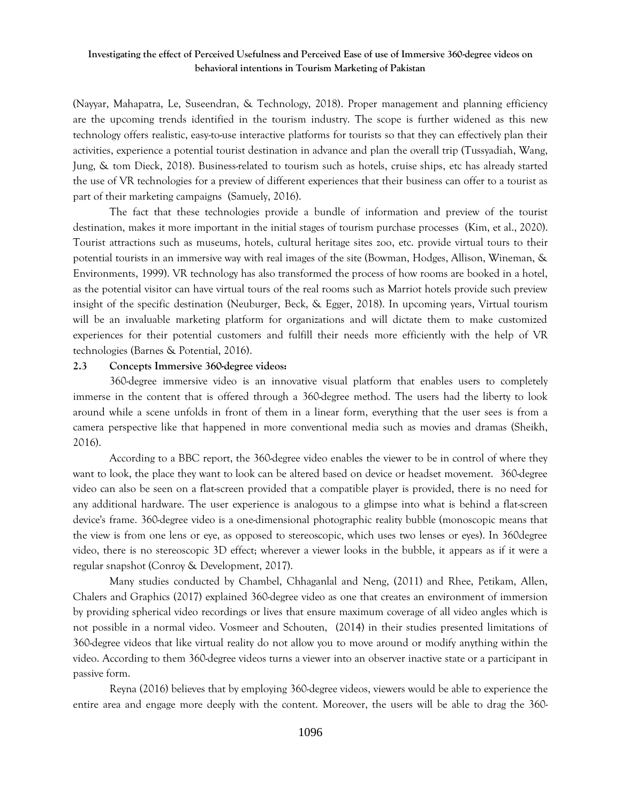(Nayyar, Mahapatra, Le, Suseendran, & Technology, 2018). Proper management and planning efficiency are the upcoming trends identified in the tourism industry. The scope is further widened as this new technology offers realistic, easy-to-use interactive platforms for tourists so that they can effectively plan their activities, experience a potential tourist destination in advance and plan the overall trip (Tussyadiah, Wang, Jung, & tom Dieck, 2018). Business-related to tourism such as hotels, cruise ships, etc has already started the use of VR technologies for a preview of different experiences that their business can offer to a tourist as part of their marketing campaigns (Samuely, 2016).

The fact that these technologies provide a bundle of information and preview of the tourist destination, makes it more important in the initial stages of tourism purchase processes (Kim, et al., 2020). Tourist attractions such as museums, hotels, cultural heritage sites zoo, etc. provide virtual tours to their potential tourists in an immersive way with real images of the site (Bowman, Hodges, Allison, Wineman, & Environments, 1999). VR technology has also transformed the process of how rooms are booked in a hotel, as the potential visitor can have virtual tours of the real rooms such as Marriot hotels provide such preview insight of the specific destination (Neuburger, Beck, & Egger, 2018). In upcoming years, Virtual tourism will be an invaluable marketing platform for organizations and will dictate them to make customized experiences for their potential customers and fulfill their needs more efficiently with the help of VR technologies (Barnes & Potential, 2016).

#### **2.3 Concepts Immersive 360-degree videos:**

360-degree immersive video is an innovative visual platform that enables users to completely immerse in the content that is offered through a 360-degree method. The users had the liberty to look around while a scene unfolds in front of them in a linear form, everything that the user sees is from a camera perspective like that happened in more conventional media such as movies and dramas (Sheikh, 2016).

According to a BBC report, the 360-degree video enables the viewer to be in control of where they want to look, the place they want to look can be altered based on device or headset movement. 360-degree video can also be seen on a flat-screen provided that a compatible player is provided, there is no need for any additional hardware. The user experience is analogous to a glimpse into what is behind a flat-screen device's frame. 360-degree video is a one-dimensional photographic reality bubble (monoscopic means that the view is from one lens or eye, as opposed to stereoscopic, which uses two lenses or eyes). In 360degree video, there is no stereoscopic 3D effect; wherever a viewer looks in the bubble, it appears as if it were a regular snapshot (Conroy & Development, 2017).

Many studies conducted by Chambel, Chhaganlal and Neng, (2011) and Rhee, Petikam, Allen, Chalers and Graphics (2017) explained 360-degree video as one that creates an environment of immersion by providing spherical video recordings or lives that ensure maximum coverage of all video angles which is not possible in a normal video. Vosmeer and Schouten, (2014) in their studies presented limitations of 360-degree videos that like virtual reality do not allow you to move around or modify anything within the video. According to them 360-degree videos turns a viewer into an observer inactive state or a participant in passive form.

Reyna (2016) believes that by employing 360-degree videos, viewers would be able to experience the entire area and engage more deeply with the content. Moreover, the users will be able to drag the 360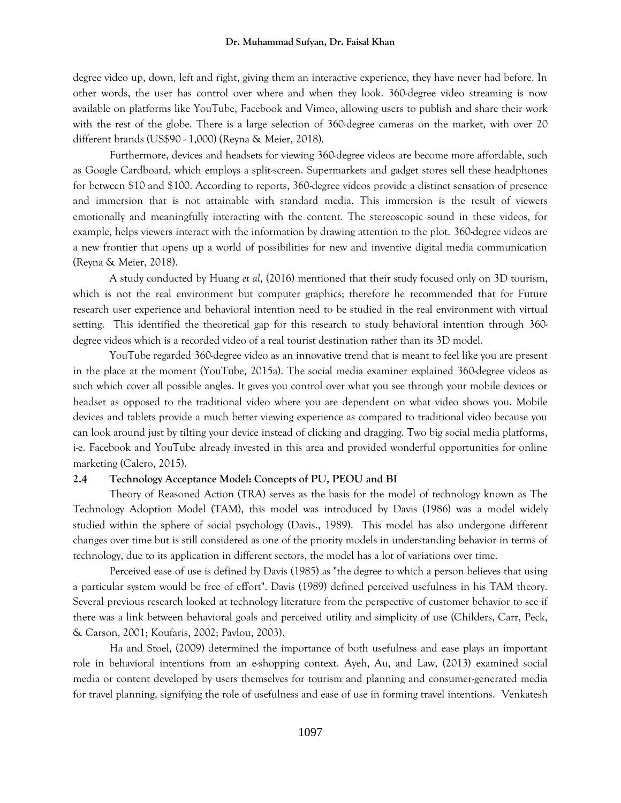degree video up, down, left and right, giving them an interactive experience, they have never had before. In other words, the user has control over where and when they look. 360-degree video streaming is now available on platforms like YouTube, Facebook and Vimeo, allowing users to publish and share their work with the rest of the globe. There is a large selection of 360-degree cameras on the market, with over 20 different brands (US\$90 - 1,000) (Reyna & Meier, 2018).

Furthermore, devices and headsets for viewing 360-degree videos are become more affordable, such as Google Cardboard, which employs a split-screen. Supermarkets and gadget stores sell these headphones for between \$10 and \$100. According to reports, 360-degree videos provide a distinct sensation of presence and immersion that is not attainable with standard media. This immersion is the result of viewers emotionally and meaningfully interacting with the content. The stereoscopic sound in these videos, for example, helps viewers interact with the information by drawing attention to the plot. 360-degree videos are a new frontier that opens up a world of possibilities for new and inventive digital media communication (Reyna & Meier, 2018).

A study conducted by Huang *et al*, (2016) mentioned that their study focused only on 3D tourism, which is not the real environment but computer graphics; therefore he recommended that for Future research user experience and behavioral intention need to be studied in the real environment with virtual setting. This identified the theoretical gap for this research to study behavioral intention through 360 degree videos which is a recorded video of a real tourist destination rather than its 3D model.

YouTube regarded 360-degree video as an innovative trend that is meant to feel like you are present in the place at the moment (YouTube, 2015a). The social media examiner explained 360-degree videos as such which cover all possible angles. It gives you control over what you see through your mobile devices or headset as opposed to the traditional video where you are dependent on what video shows you. Mobile devices and tablets provide a much better viewing experience as compared to traditional video because you can look around just by tilting your device instead of clicking and dragging. Two big social media platforms, i-e. Facebook and YouTube already invested in this area and provided wonderful opportunities for online marketing (Calero, 2015).

#### **2.4 Technology Acceptance Model: Concepts of PU, PEOU and BI**

Theory of Reasoned Action (TRA) serves as the basis for the model of technology known as The Technology Adoption Model (TAM), this model was introduced by Davis (1986) was a model widely studied within the sphere of social psychology (Davis., 1989). This model has also undergone different changes over time but is still considered as one of the priority models in understanding behavior in terms of technology, due to its application in different sectors, the model has a lot of variations over time.

Perceived ease of use is defined by Davis (1985) as "the degree to which a person believes that using a particular system would be free of effort". Davis (1989) defined perceived usefulness in his TAM theory. Several previous research looked at technology literature from the perspective of customer behavior to see if there was a link between behavioral goals and perceived utility and simplicity of use (Childers, Carr, Peck, & Carson, 2001; Koufaris, 2002; Pavlou, 2003).

Ha and Stoel, (2009) determined the importance of both usefulness and ease plays an important role in behavioral intentions from an e-shopping context. Ayeh, Au, and Law, (2013) examined social media or content developed by users themselves for tourism and planning and consumer-generated media for travel planning, signifying the role of usefulness and ease of use in forming travel intentions. Venkatesh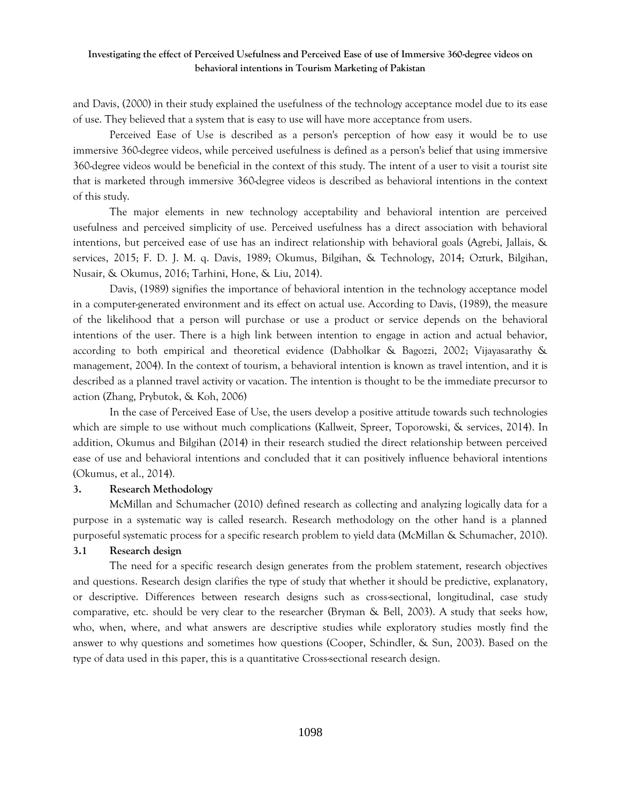and Davis, (2000) in their study explained the usefulness of the technology acceptance model due to its ease of use. They believed that a system that is easy to use will have more acceptance from users.

Perceived Ease of Use is described as a person's perception of how easy it would be to use immersive 360-degree videos, while perceived usefulness is defined as a person's belief that using immersive 360-degree videos would be beneficial in the context of this study. The intent of a user to visit a tourist site that is marketed through immersive 360-degree videos is described as behavioral intentions in the context of this study.

The major elements in new technology acceptability and behavioral intention are perceived usefulness and perceived simplicity of use. Perceived usefulness has a direct association with behavioral intentions, but perceived ease of use has an indirect relationship with behavioral goals (Agrebi, Jallais, & services, 2015; F. D. J. M. q. Davis, 1989; Okumus, Bilgihan, & Technology, 2014; Ozturk, Bilgihan, Nusair, & Okumus, 2016; Tarhini, Hone, & Liu, 2014).

Davis, (1989) signifies the importance of behavioral intention in the technology acceptance model in a computer-generated environment and its effect on actual use. According to Davis, (1989), the measure of the likelihood that a person will purchase or use a product or service depends on the behavioral intentions of the user. There is a high link between intention to engage in action and actual behavior, according to both empirical and theoretical evidence (Dabholkar & Bagozzi, 2002; Vijayasarathy & management, 2004). In the context of tourism, a behavioral intention is known as travel intention, and it is described as a planned travel activity or vacation. The intention is thought to be the immediate precursor to action (Zhang, Prybutok, & Koh, 2006)

In the case of Perceived Ease of Use, the users develop a positive attitude towards such technologies which are simple to use without much complications (Kallweit, Spreer, Toporowski, & services, 2014). In addition, Okumus and Bilgihan (2014) in their research studied the direct relationship between perceived ease of use and behavioral intentions and concluded that it can positively influence behavioral intentions (Okumus, et al., 2014).

#### **3. Research Methodology**

McMillan and Schumacher (2010) defined research as collecting and analyzing logically data for a purpose in a systematic way is called research. Research methodology on the other hand is a planned purposeful systematic process for a specific research problem to yield data (McMillan & Schumacher, 2010).

## **3.1 Research design**

The need for a specific research design generates from the problem statement, research objectives and questions. Research design clarifies the type of study that whether it should be predictive, explanatory, or descriptive. Differences between research designs such as cross-sectional, longitudinal, case study comparative, etc. should be very clear to the researcher (Bryman & Bell, 2003). A study that seeks how, who, when, where, and what answers are descriptive studies while exploratory studies mostly find the answer to why questions and sometimes how questions (Cooper, Schindler, & Sun, 2003). Based on the type of data used in this paper, this is a quantitative Cross-sectional research design.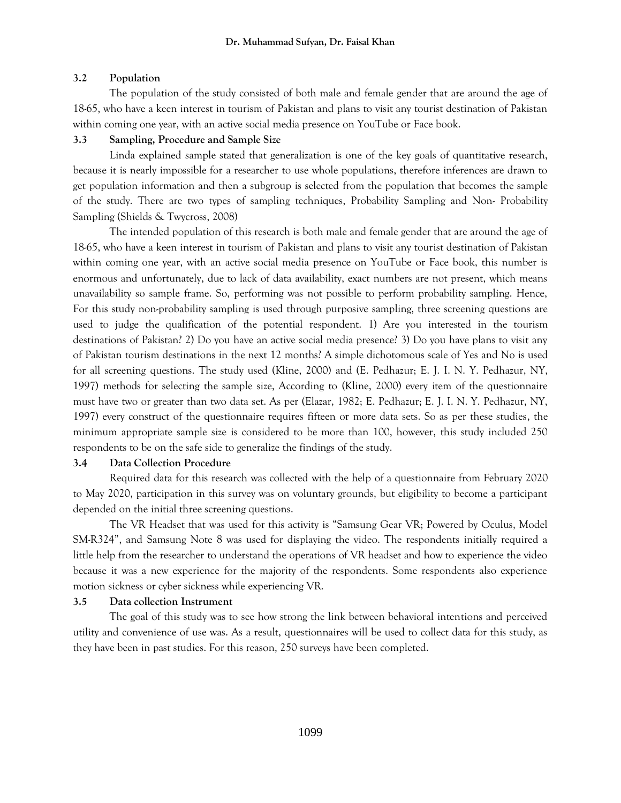## **3.2 Population**

The population of the study consisted of both male and female gender that are around the age of 18-65, who have a keen interest in tourism of Pakistan and plans to visit any tourist destination of Pakistan within coming one year, with an active social media presence on YouTube or Face book.

## **3.3 Sampling, Procedure and Sample Size**

Linda explained sample stated that generalization is one of the key goals of quantitative research, because it is nearly impossible for a researcher to use whole populations, therefore inferences are drawn to get population information and then a subgroup is selected from the population that becomes the sample of the study. There are two types of sampling techniques, Probability Sampling and Non- Probability Sampling (Shields & Twycross, 2008)

The intended population of this research is both male and female gender that are around the age of 18-65, who have a keen interest in tourism of Pakistan and plans to visit any tourist destination of Pakistan within coming one year, with an active social media presence on YouTube or Face book, this number is enormous and unfortunately, due to lack of data availability, exact numbers are not present, which means unavailability so sample frame. So, performing was not possible to perform probability sampling. Hence, For this study non-probability sampling is used through purposive sampling, three screening questions are used to judge the qualification of the potential respondent. 1) Are you interested in the tourism destinations of Pakistan? 2) Do you have an active social media presence? 3) Do you have plans to visit any of Pakistan tourism destinations in the next 12 months? A simple dichotomous scale of Yes and No is used for all screening questions. The study used (Kline, 2000) and (E. Pedhazur; E. J. I. N. Y. Pedhazur, NY, 1997) methods for selecting the sample size, According to (Kline, 2000) every item of the questionnaire must have two or greater than two data set. As per (Elazar, 1982; E. Pedhazur; E. J. I. N. Y. Pedhazur, NY, 1997) every construct of the questionnaire requires fifteen or more data sets. So as per these studies, the minimum appropriate sample size is considered to be more than 100, however, this study included 250 respondents to be on the safe side to generalize the findings of the study.

# **3.4 Data Collection Procedure**

Required data for this research was collected with the help of a questionnaire from February 2020 to May 2020, participation in this survey was on voluntary grounds, but eligibility to become a participant depended on the initial three screening questions.

The VR Headset that was used for this activity is "Samsung Gear VR; Powered by Oculus, Model SM-R324", and Samsung Note 8 was used for displaying the video. The respondents initially required a little help from the researcher to understand the operations of VR headset and how to experience the video because it was a new experience for the majority of the respondents. Some respondents also experience motion sickness or cyber sickness while experiencing VR.

# **3.5 Data collection Instrument**

The goal of this study was to see how strong the link between behavioral intentions and perceived utility and convenience of use was. As a result, questionnaires will be used to collect data for this study, as they have been in past studies. For this reason, 250 surveys have been completed.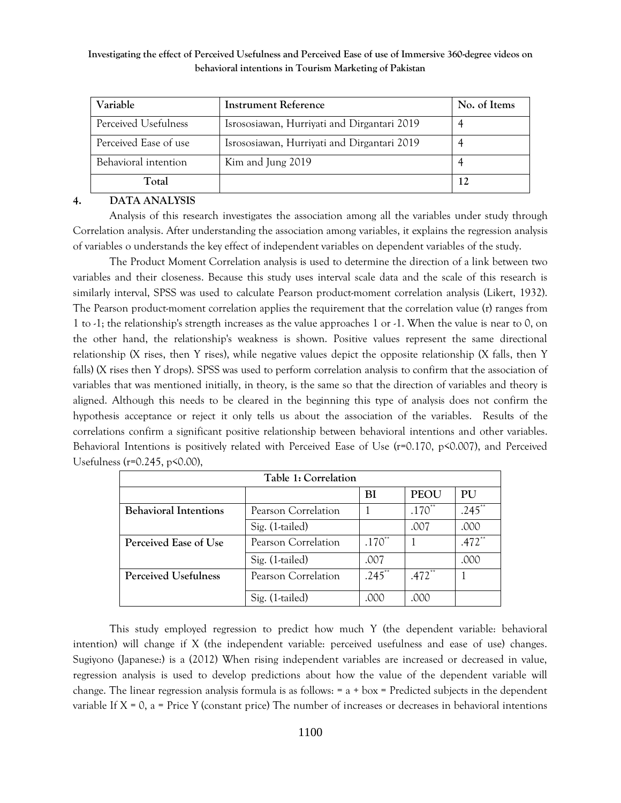| Variable              | <b>Instrument Reference</b>                 | No. of Items |
|-----------------------|---------------------------------------------|--------------|
| Perceived Usefulness  | Isrososiawan, Hurriyati and Dirgantari 2019 |              |
| Perceived Ease of use | Isrososiawan, Hurriyati and Dirgantari 2019 |              |
| Behavioral intention  | Kim and Jung 2019                           |              |
| Total                 |                                             | 12           |

## **4. DATA ANALYSIS**

Analysis of this research investigates the association among all the variables under study through Correlation analysis. After understanding the association among variables, it explains the regression analysis of variables o understands the key effect of independent variables on dependent variables of the study.

The Product Moment Correlation analysis is used to determine the direction of a link between two variables and their closeness. Because this study uses interval scale data and the scale of this research is similarly interval, SPSS was used to calculate Pearson product-moment correlation analysis (Likert, 1932). The Pearson product-moment correlation applies the requirement that the correlation value (r) ranges from 1 to -1; the relationship's strength increases as the value approaches 1 or -1. When the value is near to 0, on the other hand, the relationship's weakness is shown. Positive values represent the same directional relationship (X rises, then Y rises), while negative values depict the opposite relationship (X falls, then Y falls) (X rises then Y drops). SPSS was used to perform correlation analysis to confirm that the association of variables that was mentioned initially, in theory, is the same so that the direction of variables and theory is aligned. Although this needs to be cleared in the beginning this type of analysis does not confirm the hypothesis acceptance or reject it only tells us about the association of the variables. Results of the correlations confirm a significant positive relationship between behavioral intentions and other variables. Behavioral Intentions is positively related with Perceived Ease of Use (r=0.170, p<0.007), and Perceived Usefulness (r=0.245, p<0.00),

| Table 1: Correlation         |                     |           |                      |                     |
|------------------------------|---------------------|-----------|----------------------|---------------------|
|                              |                     | BI        | <b>PEOU</b>          | <b>PU</b>           |
| <b>Behavioral Intentions</b> | Pearson Correlation |           | $.170**$             | .245                |
|                              | Sig. (1-tailed)     |           | .007                 | .000                |
| Perceived Ease of Use        | Pearson Correlation | $.170**$  |                      | $.472$ <sup>*</sup> |
|                              | Sig. (1-tailed)     | .007      |                      | .000                |
| <b>Perceived Usefulness</b>  | Pearson Correlation | $.245$ ** | $.472$ <sup>**</sup> |                     |
|                              | Sig. (1-tailed)     | .000      | .000                 |                     |

This study employed regression to predict how much Y (the dependent variable: behavioral intention) will change if X (the independent variable: perceived usefulness and ease of use) changes. Sugiyono (Japanese:) is a (2012) When rising independent variables are increased or decreased in value, regression analysis is used to develop predictions about how the value of the dependent variable will change. The linear regression analysis formula is as follows: = a + box = Predicted subjects in the dependent variable If  $X = 0$ , a = Price Y (constant price) The number of increases or decreases in behavioral intentions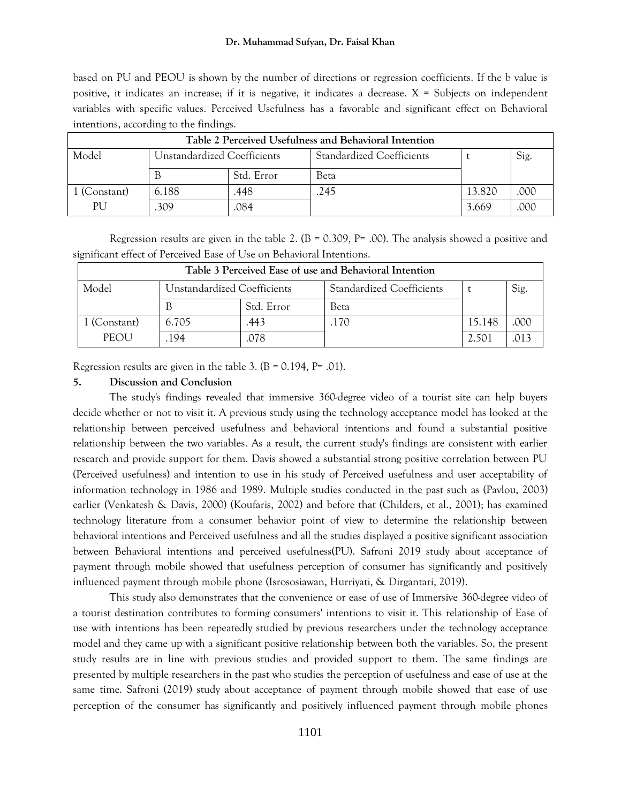#### **Dr. Muhammad Sufyan, Dr. Faisal Khan**

based on PU and PEOU is shown by the number of directions or regression coefficients. If the b value is positive, it indicates an increase; if it is negative, it indicates a decrease. X = Subjects on independent variables with specific values. Perceived Usefulness has a favorable and significant effect on Behavioral intentions, according to the findings.

| Table 2 Perceived Usefulness and Behavioral Intention |                             |            |                                  |        |      |  |
|-------------------------------------------------------|-----------------------------|------------|----------------------------------|--------|------|--|
| Model                                                 | Unstandardized Coefficients |            | <b>Standardized Coefficients</b> |        | Sig. |  |
|                                                       |                             | Std. Error | Beta                             |        |      |  |
| 1 (Constant)                                          | 6.188                       | .448       | 245                              | 13.820 | .000 |  |
| PU.                                                   | 309                         | .084       |                                  | 3.669  | .000 |  |

Regression results are given in the table 2. ( $B = 0.309$ ,  $P = 0.00$ ). The analysis showed a positive and significant effect of Perceived Ease of Use on Behavioral Intentions.

| Table 3 Perceived Ease of use and Behavioral Intention |                             |            |                                  |        |      |  |
|--------------------------------------------------------|-----------------------------|------------|----------------------------------|--------|------|--|
| Model                                                  | Unstandardized Coefficients |            | <b>Standardized Coefficients</b> |        | Sig. |  |
|                                                        |                             | Std. Error | Beta                             |        |      |  |
| 1 (Constant)                                           | 6.705                       | .443       | .170                             | 15.148 | .000 |  |
| <b>PEOU</b>                                            | 194                         | 078        |                                  | 2.501  |      |  |

Regression results are given in the table 3.  $(B = 0.194, P = .01)$ .

#### **5. Discussion and Conclusion**

The study's findings revealed that immersive 360-degree video of a tourist site can help buyers decide whether or not to visit it. A previous study using the technology acceptance model has looked at the relationship between perceived usefulness and behavioral intentions and found a substantial positive relationship between the two variables. As a result, the current study's findings are consistent with earlier research and provide support for them. Davis showed a substantial strong positive correlation between PU (Perceived usefulness) and intention to use in his study of Perceived usefulness and user acceptability of information technology in 1986 and 1989. Multiple studies conducted in the past such as (Pavlou, 2003) earlier (Venkatesh & Davis, 2000) (Koufaris, 2002) and before that (Childers, et al., 2001); has examined technology literature from a consumer behavior point of view to determine the relationship between behavioral intentions and Perceived usefulness and all the studies displayed a positive significant association between Behavioral intentions and perceived usefulness(PU). Safroni 2019 study about acceptance of payment through mobile showed that usefulness perception of consumer has significantly and positively influenced payment through mobile phone (Isrososiawan, Hurriyati, & Dirgantari, 2019).

This study also demonstrates that the convenience or ease of use of Immersive 360-degree video of a tourist destination contributes to forming consumers' intentions to visit it. This relationship of Ease of use with intentions has been repeatedly studied by previous researchers under the technology acceptance model and they came up with a significant positive relationship between both the variables. So, the present study results are in line with previous studies and provided support to them. The same findings are presented by multiple researchers in the past who studies the perception of usefulness and ease of use at the same time. Safroni (2019) study about acceptance of payment through mobile showed that ease of use perception of the consumer has significantly and positively influenced payment through mobile phones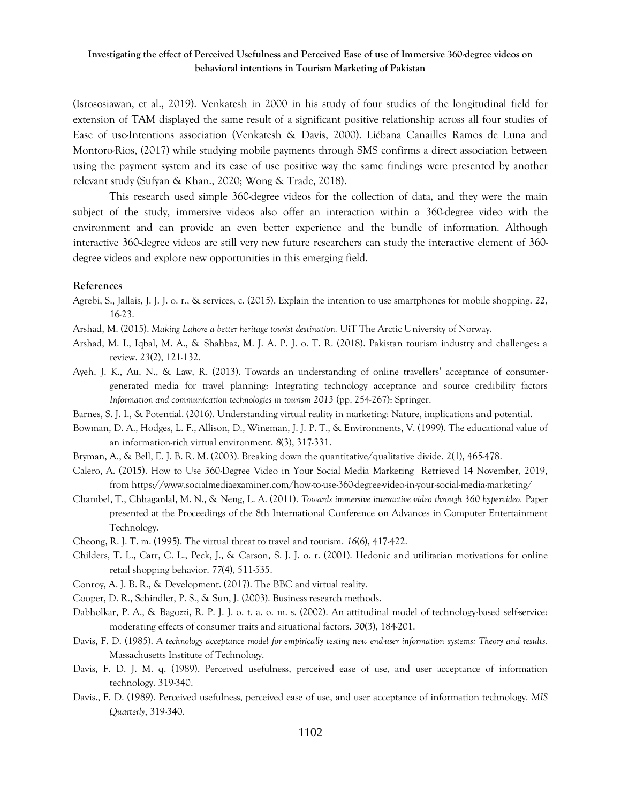(Isrososiawan, et al., 2019). Venkatesh in 2000 in his study of four studies of the longitudinal field for extension of TAM displayed the same result of a significant positive relationship across all four studies of Ease of use-Intentions association (Venkatesh & Davis, 2000). Liébana Canailles Ramos de Luna and Montoro-Rios, (2017) while studying mobile payments through SMS confirms a direct association between using the payment system and its ease of use positive way the same findings were presented by another relevant study (Sufyan & Khan., 2020; Wong & Trade, 2018).

This research used simple 360-degree videos for the collection of data, and they were the main subject of the study, immersive videos also offer an interaction within a 360-degree video with the environment and can provide an even better experience and the bundle of information. Although interactive 360-degree videos are still very new future researchers can study the interactive element of 360 degree videos and explore new opportunities in this emerging field.

#### **References**

- Agrebi, S., Jallais, J. J. J. o. r., & services, c. (2015). Explain the intention to use smartphones for mobile shopping. *22*, 16-23.
- Arshad, M. (2015). *Making Lahore a better heritage tourist destination.* UiT The Arctic University of Norway.
- Arshad, M. I., Iqbal, M. A., & Shahbaz, M. J. A. P. J. o. T. R. (2018). Pakistan tourism industry and challenges: a review. *23*(2), 121-132.
- Ayeh, J. K., Au, N., & Law, R. (2013). Towards an understanding of online travellers' acceptance of consumergenerated media for travel planning: Integrating technology acceptance and source credibility factors *Information and communication technologies in tourism 2013* (pp. 254-267): Springer.
- Barnes, S. J. I., & Potential. (2016). Understanding virtual reality in marketing: Nature, implications and potential.
- Bowman, D. A., Hodges, L. F., Allison, D., Wineman, J. J. P. T., & Environments, V. (1999). The educational value of an information-rich virtual environment. *8*(3), 317-331.
- Bryman, A., & Bell, E. J. B. R. M. (2003). Breaking down the quantitative/qualitative divide. *2*(1), 465-478.
- Calero, A. (2015). How to Use 360-Degree Video in Your Social Media Marketing Retrieved 14 November, 2019, from https:/[/www.socialmediaexaminer.com/how-to-use-360-degree-video-in-your-social-media-marketing/](http://www.socialmediaexaminer.com/how-to-use-360-degree-video-in-your-social-media-marketing/)
- Chambel, T., Chhaganlal, M. N., & Neng, L. A. (2011). *Towards immersive interactive video through 360 hypervideo.* Paper presented at the Proceedings of the 8th International Conference on Advances in Computer Entertainment Technology.
- Cheong, R. J. T. m. (1995). The virtual threat to travel and tourism. *16*(6), 417-422.
- Childers, T. L., Carr, C. L., Peck, J., & Carson, S. J. J. o. r. (2001). Hedonic and utilitarian motivations for online retail shopping behavior. *77*(4), 511-535.
- Conroy, A. J. B. R., & Development. (2017). The BBC and virtual reality.
- Cooper, D. R., Schindler, P. S., & Sun, J. (2003). Business research methods.
- Dabholkar, P. A., & Bagozzi, R. P. J. J. o. t. a. o. m. s. (2002). An attitudinal model of technology-based self-service: moderating effects of consumer traits and situational factors. *30*(3), 184-201.
- Davis, F. D. (1985). *A technology acceptance model for empirically testing new end-user information systems: Theory and results.* Massachusetts Institute of Technology.
- Davis, F. D. J. M. q. (1989). Perceived usefulness, perceived ease of use, and user acceptance of information technology. 319-340.
- Davis., F. D. (1989). Perceived usefulness, perceived ease of use, and user acceptance of information technology. *MIS Quarterly*, 319-340.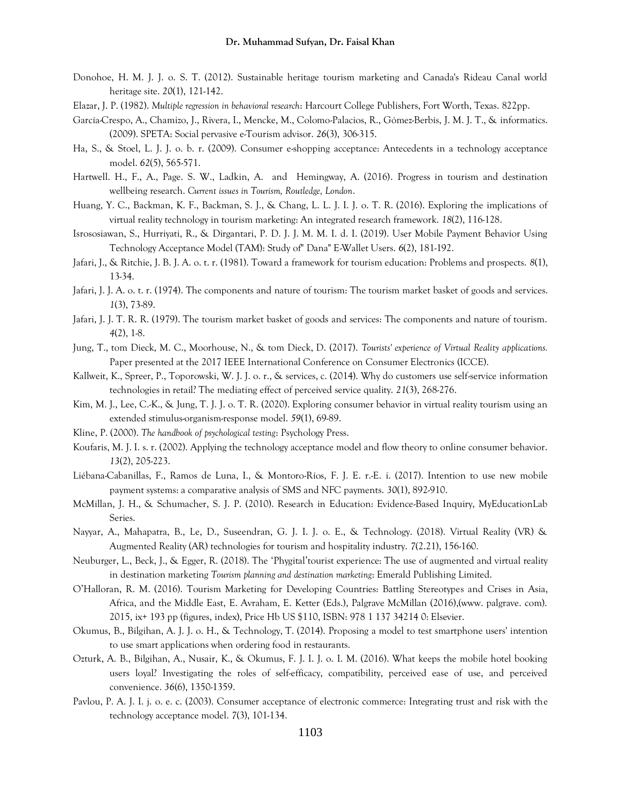- Donohoe, H. M. J. J. o. S. T. (2012). Sustainable heritage tourism marketing and Canada's Rideau Canal world heritage site. *20*(1), 121-142.
- Elazar, J. P. (1982). *Multiple regression in behavioral research*: Harcourt College Publishers, Fort Worth, Texas. 822pp.
- García-Crespo, A., Chamizo, J., Rivera, I., Mencke, M., Colomo-Palacios, R., Gómez-Berbís, J. M. J. T., & informatics. (2009). SPETA: Social pervasive e-Tourism advisor. *26*(3), 306-315.
- Ha, S., & Stoel, L. J. J. o. b. r. (2009). Consumer e-shopping acceptance: Antecedents in a technology acceptance model. *62*(5), 565-571.
- Hartwell. H., F., A., Page. S. W., Ladkin, A. and Hemingway, A. (2016). Progress in tourism and destination wellbeing research. *Current issues in Tourism, Routledge, London*.
- Huang, Y. C., Backman, K. F., Backman, S. J., & Chang, L. L. J. I. J. o. T. R. (2016). Exploring the implications of virtual reality technology in tourism marketing: An integrated research framework. *18*(2), 116-128.
- Isrososiawan, S., Hurriyati, R., & Dirgantari, P. D. J. J. M. M. I. d. I. (2019). User Mobile Payment Behavior Using Technology Acceptance Model (TAM): Study of" Dana" E-Wallet Users. *6*(2), 181-192.
- Jafari, J., & Ritchie, J. B. J. A. o. t. r. (1981). Toward a framework for tourism education: Problems and prospects. *8*(1), 13-34.
- Jafari, J. J. A. o. t. r. (1974). The components and nature of tourism: The tourism market basket of goods and services. *1*(3), 73-89.
- Jafari, J. J. T. R. R. (1979). The tourism market basket of goods and services: The components and nature of tourism. *4*(2), 1-8.
- Jung, T., tom Dieck, M. C., Moorhouse, N., & tom Dieck, D. (2017). *Tourists' experience of Virtual Reality applications.* Paper presented at the 2017 IEEE International Conference on Consumer Electronics (ICCE).
- Kallweit, K., Spreer, P., Toporowski, W. J. J. o. r., & services, c. (2014). Why do customers use self-service information technologies in retail? The mediating effect of perceived service quality. *21*(3), 268-276.
- Kim, M. J., Lee, C.-K., & Jung, T. J. J. o. T. R. (2020). Exploring consumer behavior in virtual reality tourism using an extended stimulus-organism-response model. *59*(1), 69-89.
- Kline, P. (2000). *The handbook of psychological testing*: Psychology Press.
- Koufaris, M. J. I. s. r. (2002). Applying the technology acceptance model and flow theory to online consumer behavior. *13*(2), 205-223.
- Liébana-Cabanillas, F., Ramos de Luna, I., & Montoro-Ríos, F. J. E. r.-E. i. (2017). Intention to use new mobile payment systems: a comparative analysis of SMS and NFC payments. *30*(1), 892-910.
- McMillan, J. H., & Schumacher, S. J. P. (2010). Research in Education: Evidence-Based Inquiry, MyEducationLab Series.
- Nayyar, A., Mahapatra, B., Le, D., Suseendran, G. J. I. J. o. E., & Technology. (2018). Virtual Reality (VR) & Augmented Reality (AR) technologies for tourism and hospitality industry. *7*(2.21), 156-160.
- Neuburger, L., Beck, J., & Egger, R. (2018). The 'Phygital'tourist experience: The use of augmented and virtual reality in destination marketing *Tourism planning and destination marketing*: Emerald Publishing Limited.
- O'Halloran, R. M. (2016). Tourism Marketing for Developing Countries: Battling Stereotypes and Crises in Asia, Africa, and the Middle East, E. Avraham, E. Ketter (Eds.), Palgrave McMillan (2016),(www. palgrave. com). 2015, ix+ 193 pp (figures, index), Price Hb US \$110, ISBN: 978 1 137 34214 0: Elsevier.
- Okumus, B., Bilgihan, A. J. J. o. H., & Technology, T. (2014). Proposing a model to test smartphone users' intention to use smart applications when ordering food in restaurants.
- Ozturk, A. B., Bilgihan, A., Nusair, K., & Okumus, F. J. I. J. o. I. M. (2016). What keeps the mobile hotel booking users loyal? Investigating the roles of self-efficacy, compatibility, perceived ease of use, and perceived convenience. *36*(6), 1350-1359.
- Pavlou, P. A. J. I. j. o. e. c. (2003). Consumer acceptance of electronic commerce: Integrating trust and risk with the technology acceptance model. *7*(3), 101-134.